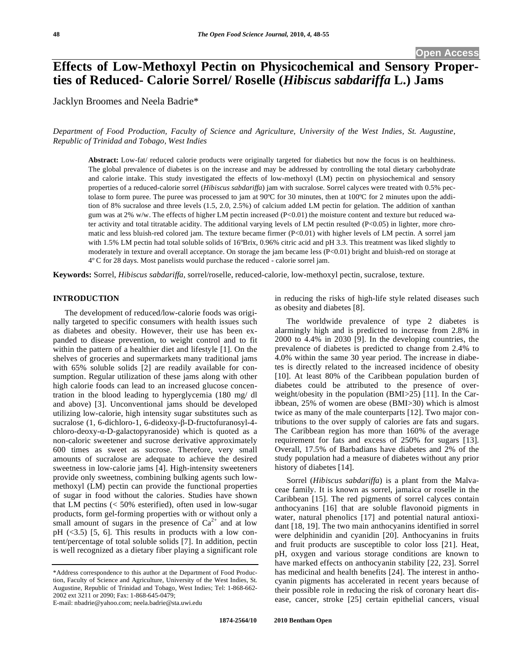# **Effects of Low-Methoxyl Pectin on Physicochemical and Sensory Properties of Reduced- Calorie Sorrel/ Roselle (***Hibiscus sabdariffa* **L.) Jams**

Jacklyn Broomes and Neela Badrie\*

*Department of Food Production, Faculty of Science and Agriculture, University of the West Indies, St. Augustine, Republic of Trinidad and Tobago, West Indies* 

**Abstract:** Low-fat/ reduced calorie products were originally targeted for diabetics but now the focus is on healthiness. The global prevalence of diabetes is on the increase and may be addressed by controlling the total dietary carbohydrate and calorie intake. This study investigated the effects of low-methoxyl (LM) pectin on physiochemical and sensory properties of a reduced-calorie sorrel (*Hibiscus sabdariffa*) jam with sucralose. Sorrel calyces were treated with 0.5% pectolase to form puree. The puree was processed to jam at 90°C for 30 minutes, then at 100°C for 2 minutes upon the addition of 8% sucralose and three levels (1.5, 2.0, 2.5%) of calcium added LM pectin for gelation. The addition of xanthan gum was at 2% w/w. The effects of higher LM pectin increased (P<0.01) the moisture content and texture but reduced water activity and total titratable acidity. The additional varying levels of LM pectin resulted (P<0.05) in lighter, more chromatic and less bluish-red colored jam. The texture became firmer (P<0.01) with higher levels of LM pectin. A sorrel jam with 1.5% LM pectin had total soluble solids of 16°Brix, 0.96% citric acid and pH 3.3. This treatment was liked slightly to moderately in texture and overall acceptance. On storage the jam became less (P<0.01) bright and bluish-red on storage at 4º C for 28 days. Most panelists would purchase the reduced - calorie sorrel jam.

**Keywords:** Sorrel, *Hibiscus sabdariffa*, sorrel/roselle, reduced-calorie, low-methoxyl pectin, sucralose, texture.

#### **INTRODUCTION**

The development of reduced/low-calorie foods was originally targeted to specific consumers with health issues such as diabetes and obesity. However, their use has been expanded to disease prevention, to weight control and to fit within the pattern of a healthier diet and lifestyle [1]. On the shelves of groceries and supermarkets many traditional jams with 65% soluble solids [2] are readily available for consumption. Regular utilization of these jams along with other high calorie foods can lead to an increased glucose concentration in the blood leading to hyperglycemia (180 mg/ dl and above) [3]. Unconventional jams should be developed utilizing low-calorie, high intensity sugar substitutes such as sucralose (1, 6-dichloro-1, 6-dideoxy-β-D-fructofuranosyl-4chloro-deoxy- $\alpha$ -D-galactopyranoside) which is quoted as a non-caloric sweetener and sucrose derivative approximately 600 times as sweet as sucrose. Therefore, very small amounts of sucralose are adequate to achieve the desired sweetness in low-calorie jams [4]. High-intensity sweeteners provide only sweetness, combining bulking agents such lowmethoxyl (LM) pectin can provide the functional properties of sugar in food without the calories. Studies have shown that LM pectins (< 50% esterified), often used in low-sugar products, form gel-forming properties with or without only a small amount of sugars in the presence of  $Ca^{2+}$  and at low  $pH$  (<3.5) [5, 6]. This results in products with a low content/percentage of total soluble solids [7]. In addition, pectin is well recognized as a dietary fiber playing a significant role

in reducing the risks of high-life style related diseases such as obesity and diabetes [8].

The worldwide prevalence of type 2 diabetes is alarmingly high and is predicted to increase from 2.8% in 2000 to 4.4% in 2030 [9]. In the developing countries, the prevalence of diabetes is predicted to change from 2.4% to 4.0% within the same 30 year period. The increase in diabetes is directly related to the increased incidence of obesity [10]. At least 80% of the Caribbean population burden of diabetes could be attributed to the presence of overweight/obesity in the population (BMI>25) [11]. In the Caribbean, 25% of women are obese (BMI>30) which is almost twice as many of the male counterparts [12]. Two major contributions to the over supply of calories are fats and sugars. The Caribbean region has more than 160% of the average requirement for fats and excess of 250% for sugars [13]. Overall, 17.5% of Barbadians have diabetes and 2% of the study population had a measure of diabetes without any prior history of diabetes [14].

Sorrel (*Hibiscus sabdariffa*) is a plant from the Malvaceae family. It is known as sorrel, jamaica or roselle in the Caribbean [15]. The red pigments of sorrel calyces contain anthocyanins [16] that are soluble flavonoid pigments in water, natural phenolics [17] and potential natural antioxidant [18, 19]. The two main anthocyanins identified in sorrel were delphinidin and cyanidin [20]. Anthocyanins in fruits and fruit products are susceptible to color loss [21]. Heat, pH, oxygen and various storage conditions are known to have marked effects on anthocyanin stability [22, 23]. Sorrel has medicinal and health benefits [24]. The interest in anthocyanin pigments has accelerated in recent years because of their possible role in reducing the risk of coronary heart disease, cancer, stroke [25] certain epithelial cancers, visual

<sup>\*</sup>Address correspondence to this author at the Department of Food Production, Faculty of Science and Agriculture, University of the West Indies, St. Augustine, Republic of Trinidad and Tobago, West Indies; Tel: 1-868-662- 2002 ext 3211 or 2090; Fax: 1-868-645-0479;

E-mail: nbadrie@yahoo.com; neela.badrie@sta.uwi.edu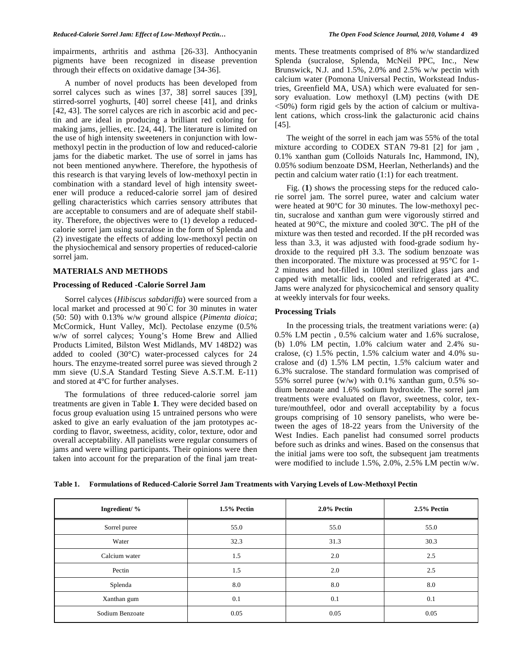impairments, arthritis and asthma [26-33]. Anthocyanin pigments have been recognized in disease prevention through their effects on oxidative damage [34-36].

A number of novel products has been developed from sorrel calyces such as wines [37, 38] sorrel sauces [39], stirred-sorrel yoghurts, [40] sorrel cheese [41], and drinks [42, 43]. The sorrel calyces are rich in ascorbic acid and pectin and are ideal in producing a brilliant red coloring for making jams, jellies, etc. [24, 44]. The literature is limited on the use of high intensity sweeteners in conjunction with lowmethoxyl pectin in the production of low and reduced-calorie jams for the diabetic market. The use of sorrel in jams has not been mentioned anywhere. Therefore, the hypothesis of this research is that varying levels of low-methoxyl pectin in combination with a standard level of high intensity sweetener will produce a reduced-calorie sorrel jam of desired gelling characteristics which carries sensory attributes that are acceptable to consumers and are of adequate shelf stability. Therefore, the objectives were to (1) develop a reducedcalorie sorrel jam using sucralose in the form of Splenda and (2) investigate the effects of adding low-methoxyl pectin on the physiochemical and sensory properties of reduced-calorie sorrel jam.

# **MATERIALS AND METHODS**

# **Processing of Reduced -Calorie Sorrel Jam**

Sorrel calyces (*Hibiscus sabdariffa*) were sourced from a local market and processed at 90° C for 30 minutes in water (50: 50) with 0.13% w/w ground allspice (*Pimenta dioica*; McCormick, Hunt Valley, Mcl). Pectolase enzyme (0.5% w/w of sorrel calyces; Young's Home Brew and Allied Products Limited, Bilston West Midlands, MV 148D2) was added to cooled (30°C) water-processed calyces for 24 hours. The enzyme-treated sorrel puree was sieved through 2 mm sieve (U.S.A Standard Testing Sieve A.S.T.M. E-11) and stored at 4ºC for further analyses.

The formulations of three reduced-calorie sorrel jam treatments are given in Table **1**. They were decided based on focus group evaluation using 15 untrained persons who were asked to give an early evaluation of the jam prototypes according to flavor, sweetness, acidity, color, texture, odor and overall acceptability. All panelists were regular consumers of jams and were willing participants. Their opinions were then taken into account for the preparation of the final jam treatments. These treatments comprised of 8% w/w standardized Splenda (sucralose, Splenda, McNeil PPC, Inc., New Brunswick, N.J. and 1.5%, 2.0% and 2.5% w/w pectin with calcium water (Pomona Universal Pectin, Workstead Industries, Greenfield MA, USA) which were evaluated for sensory evaluation. Low methoxyl (LM) pectins (with DE <50%) form rigid gels by the action of calcium or multivalent cations, which cross-link the galacturonic acid chains [45].

The weight of the sorrel in each jam was 55% of the total mixture according to CODEX STAN 79-81 [2] for jam , 0.1% xanthan gum (Colloids Naturals Inc, Hammond, IN), 0.05% sodium benzoate DSM, Heerlan, Netherlands) and the pectin and calcium water ratio (1:1) for each treatment.

Fig. (**1**) shows the processing steps for the reduced calorie sorrel jam. The sorrel puree, water and calcium water were heated at 90ºC for 30 minutes. The low-methoxyl pectin, sucralose and xanthan gum were vigorously stirred and heated at 90°C, the mixture and cooled 30ºC. The pH of the mixture was then tested and recorded. If the pH recorded was less than 3.3, it was adjusted with food-grade sodium hydroxide to the required pH 3.3. The sodium benzoate was then incorporated. The mixture was processed at 95°C for 1- 2 minutes and hot-filled in 100ml sterilized glass jars and capped with metallic lids, cooled and refrigerated at 4ºC. Jams were analyzed for physicochemical and sensory quality at weekly intervals for four weeks.

#### **Processing Trials**

In the processing trials, the treatment variations were: (a) 0.5% LM pectin , 0.5% calcium water and 1.6% sucralose, (b) 1.0% LM pectin, 1.0% calcium water and 2.4% sucralose, (c) 1.5% pectin, 1.5% calcium water and 4.0% sucralose and (d) 1.5% LM pectin, 1.5% calcium water and 6.3% sucralose. The standard formulation was comprised of 55% sorrel puree (w/w) with 0.1% xanthan gum, 0.5% sodium benzoate and 1.6% sodium hydroxide. The sorrel jam treatments were evaluated on flavor, sweetness, color, texture/mouthfeel, odor and overall acceptability by a focus groups comprising of 10 sensory panelists, who were between the ages of 18-22 years from the University of the West Indies. Each panelist had consumed sorrel products before such as drinks and wines. Based on the consensus that the initial jams were too soft, the subsequent jam treatments were modified to include 1.5%, 2.0%, 2.5% LM pectin w/w.

**Table 1. Formulations of Reduced-Calorie Sorrel Jam Treatments with Varying Levels of Low-Methoxyl Pectin** 

| Ingredient/%    | 1.5% Pectin | $2.0\%$ Pectin | 2.5% Pectin |  |
|-----------------|-------------|----------------|-------------|--|
| Sorrel puree    | 55.0        | 55.0           | 55.0        |  |
| Water           | 32.3        | 31.3           | 30.3        |  |
| Calcium water   | 1.5         | 2.0            | 2.5         |  |
| Pectin          | 1.5         | 2.0            | 2.5         |  |
| Splenda         | 8.0         | 8.0            | 8.0         |  |
| Xanthan gum     | 0.1         | 0.1            | 0.1         |  |
| Sodium Benzoate | 0.05        | 0.05           | 0.05        |  |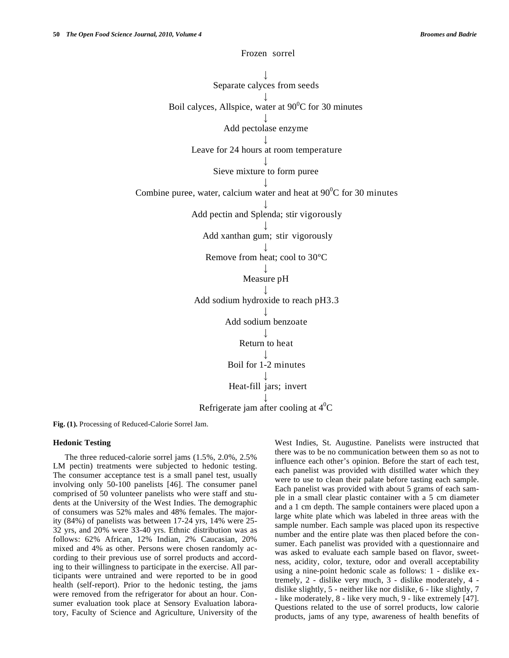Frozen sorrel

Separate calyces from seeds

Boil calyces, Allspice, water at  $90^{\circ}$ C for 30 minutes

Add pectolase enzyme

Leave for 24 hours at room temperature

Sieve mixture to form puree

Combine puree, water, calcium water and heat at  $90^{\circ}$ C for 30 minutes

Add pectin and Splenda; stir vigorously

Add xanthan gum; stir vigorously

Remove from heat; cool to 30ºC

Measure pH

Add sodium hydroxide to reach pH3.3

Add sodium benzoate

Return to heat

Boil for 1-2 minutes

Heat-fill jars; invert

Refrigerate jam after cooling at  $4^0C$ 

**Fig. (1).** Processing of Reduced-Calorie Sorrel Jam.

# **Hedonic Testing**

The three reduced-calorie sorrel jams (1.5%, 2.0%, 2.5% LM pectin) treatments were subjected to hedonic testing. The consumer acceptance test is a small panel test, usually involving only 50-100 panelists [46]. The consumer panel comprised of 50 volunteer panelists who were staff and students at the University of the West Indies. The demographic of consumers was 52% males and 48% females. The majority (84%) of panelists was between 17-24 yrs, 14% were 25- 32 yrs, and 20% were 33-40 yrs. Ethnic distribution was as follows: 62% African, 12% Indian, 2% Caucasian, 20% mixed and 4% as other. Persons were chosen randomly according to their previous use of sorrel products and according to their willingness to participate in the exercise. All participants were untrained and were reported to be in good health (self-report). Prior to the hedonic testing, the jams were removed from the refrigerator for about an hour. Consumer evaluation took place at Sensory Evaluation laboratory, Faculty of Science and Agriculture, University of the West Indies, St. Augustine. Panelists were instructed that there was to be no communication between them so as not to influence each other's opinion. Before the start of each test, each panelist was provided with distilled water which they were to use to clean their palate before tasting each sample. Each panelist was provided with about 5 grams of each sample in a small clear plastic container with a 5 cm diameter and a 1 cm depth. The sample containers were placed upon a large white plate which was labeled in three areas with the sample number. Each sample was placed upon its respective number and the entire plate was then placed before the consumer. Each panelist was provided with a questionnaire and was asked to evaluate each sample based on flavor, sweetness, acidity, color, texture, odor and overall acceptability using a nine-point hedonic scale as follows: 1 - dislike extremely, 2 - dislike very much, 3 - dislike moderately, 4 dislike slightly, 5 - neither like nor dislike, 6 - like slightly, 7 - like moderately, 8 - like very much, 9 - like extremely [47]. Questions related to the use of sorrel products, low calorie products, jams of any type, awareness of health benefits of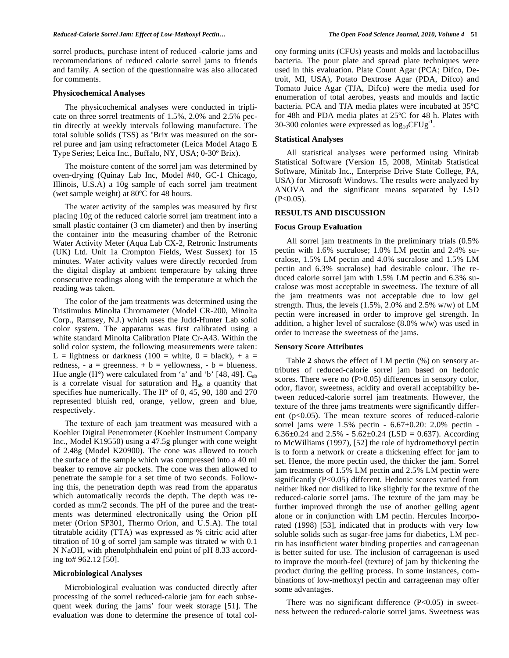sorrel products, purchase intent of reduced -calorie jams and recommendations of reduced calorie sorrel jams to friends and family. A section of the questionnaire was also allocated for comments.

#### **Physicochemical Analyses**

The physicochemical analyses were conducted in triplicate on three sorrel treatments of 1.5%, 2.0% and 2.5% pectin directly at weekly intervals following manufacture. The total soluble solids (TSS) as ºBrix was measured on the sorrel puree and jam using refractometer (Leica Model Atago E Type Series; Leica Inc., Buffalo, NY, USA; 0-30º Brix).

The moisture content of the sorrel jam was determined by oven-drying (Quinay Lab Inc, Model #40, GC-1 Chicago, Illinois, U.S.A) a 10g sample of each sorrel jam treatment (wet sample weight) at 80ºC for 48 hours.

The water activity of the samples was measured by first placing 10g of the reduced calorie sorrel jam treatment into a small plastic container (3 cm diameter) and then by inserting the container into the measuring chamber of the Retronic Water Activity Meter (Aqua Lab CX-2, Retronic Instruments (UK) Ltd. Unit 1a Crompton Fields, West Sussex) for 15 minutes. Water activity values were directly recorded from the digital display at ambient temperature by taking three consecutive readings along with the temperature at which the reading was taken.

The color of the jam treatments was determined using the Tristimulus Minolta Chromameter (Model CR-200, Minolta Corp., Ramsey, N.J.) which uses the Judd-Hunter Lab solid color system. The apparatus was first calibrated using a white standard Minolta Calibration Plate Cr-A43. Within the solid color system, the following measurements were taken: L = lightness or darkness (100 = white,  $0 =$  black), + a = redness, -  $a =$  greenness. +  $b =$  yellowness, -  $b =$  blueness. Hue angle  $(H^{\circ})$  were calculated from 'a' and 'b' [48, 49].  $C_{ab}$ is a correlate visual for saturation and  $H_{ab}$  a quantity that specifies hue numerically. The H° of 0, 45, 90, 180 and 270 represented bluish red, orange, yellow, green and blue, respectively.

The texture of each jam treatment was measured with a Koehler Digital Penetrometer (Koehler Instrument Company Inc., Model K19550) using a 47.5g plunger with cone weight of 2.48g (Model K20900). The cone was allowed to touch the surface of the sample which was compressed into a 40 ml beaker to remove air pockets. The cone was then allowed to penetrate the sample for a set time of two seconds. Following this, the penetration depth was read from the apparatus which automatically records the depth. The depth was recorded as mm/2 seconds. The pH of the puree and the treatments was determined electronically using the Orion pH meter (Orion SP301, Thermo Orion, and U.S.A). The total titratable acidity (TTA) was expressed as % citric acid after titration of 10 g of sorrel jam sample was titrated w with 0.1 N NaOH, with phenolphthalein end point of pH 8.33 according to# 962.12 [50].

#### **Microbiological Analyses**

Microbiological evaluation was conducted directly after processing of the sorrel reduced-calorie jam for each subsequent week during the jams' four week storage [51]. The evaluation was done to determine the presence of total colony forming units (CFUs) yeasts and molds and lactobacillus bacteria. The pour plate and spread plate techniques were used in this evaluation. Plate Count Agar (PCA; Difco, Detroit, MI, USA), Potato Dextrose Agar (PDA, Difco) and Tomato Juice Agar (TJA, Difco) were the media used for enumeration of total aerobes, yeasts and moulds and lactic bacteria. PCA and TJA media plates were incubated at 35ºC for 48h and PDA media plates at 25ºC for 48 h. Plates with 30-300 colonies were expressed as  $log_{10}CFUg^{-1}$ .

#### **Statistical Analyses**

All statistical analyses were performed using Minitab Statistical Software (Version 15, 2008, Minitab Statistical Software, Minitab Inc., Enterprise Drive State College, PA, USA) for Microsoft Windows. The results were analyzed by ANOVA and the significant means separated by LSD  $(P<0.05)$ .

#### **RESULTS AND DISCUSSION**

#### **Focus Group Evaluation**

All sorrel jam treatments in the preliminary trials (0.5% pectin with 1.6% sucralose; 1.0% LM pectin and 2.4% sucralose, 1.5% LM pectin and 4.0% sucralose and 1.5% LM pectin and 6.3% sucralose) had desirable colour. The reduced calorie sorrel jam with 1.5% LM pectin and 6.3% sucralose was most acceptable in sweetness. The texture of all the jam treatments was not acceptable due to low gel strength. Thus, the levels  $(1.5\%, 2.0\%$  and  $2.5\%$  w/w) of LM pectin were increased in order to improve gel strength. In addition, a higher level of sucralose (8.0% w/w) was used in order to increase the sweetness of the jams.

#### **Sensory Score Attributes**

Table **2** shows the effect of LM pectin (%) on sensory attributes of reduced-calorie sorrel jam based on hedonic scores. There were no (P>0.05) differences in sensory color, odor, flavor, sweetness, acidity and overall acceptability between reduced-calorie sorrel jam treatments. However, the texture of the three jams treatments were significantly different (p<0.05). The mean texture scores of reduced-calorie sorrel jams were 1.5% pectin - 6.67±0.20: 2.0% pectin - 6.36 $\pm$ 0.24 and 2.5% - 5.62 $\pm$ 0.24 (LSD = 0.637). According to McWilliams (1997), [52] the role of hydromethoxyl pectin is to form a network or create a thickening effect for jam to set. Hence, the more pectin used, the thicker the jam. Sorrel jam treatments of 1.5% LM pectin and 2.5% LM pectin were significantly (P<0.05) different. Hedonic scores varied from neither liked nor disliked to like slightly for the texture of the reduced-calorie sorrel jams. The texture of the jam may be further improved through the use of another gelling agent alone or in conjunction with LM pectin. Hercules Incorporated (1998) [53], indicated that in products with very low soluble solids such as sugar-free jams for diabetics, LM pectin has insufficient water binding properties and carrageenan is better suited for use. The inclusion of carrageenan is used to improve the mouth-feel (texture) of jam by thickening the product during the gelling process. In some instances, combinations of low-methoxyl pectin and carrageenan may offer some advantages.

There was no significant difference  $(P<0.05)$  in sweetness between the reduced-calorie sorrel jams. Sweetness was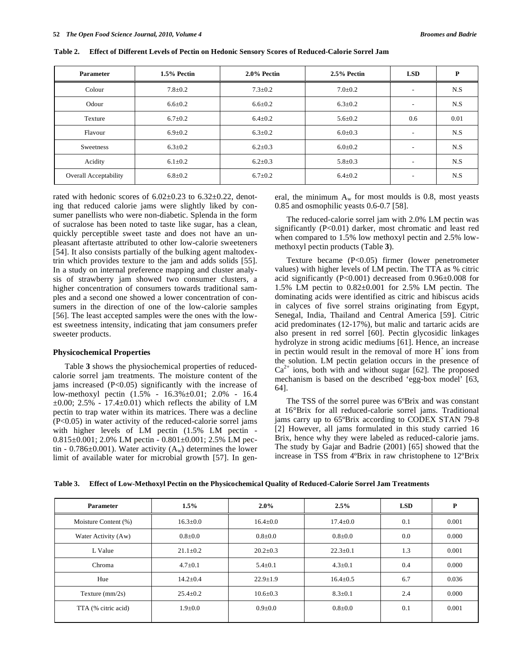| <b>Parameter</b>                              | 1.5% Pectin   | $2.0\%$ Pectin | 2.5% Pectin   | <b>LSD</b>               | P    |
|-----------------------------------------------|---------------|----------------|---------------|--------------------------|------|
| Colour                                        | $7.8 \pm 0.2$ | $7.3 \pm 0.2$  | $7.0 \pm 0.2$ | $\overline{\phantom{a}}$ | N.S  |
| Odour                                         | $6.6 \pm 0.2$ | $6.6 \pm 0.2$  | $6.3 \pm 0.2$ | $\overline{\phantom{a}}$ | N.S  |
| Texture                                       | $6.7 \pm 0.2$ | $6.4 \pm 0.2$  | $5.6 \pm 0.2$ | 0.6                      | 0.01 |
| Flavour                                       | $6.9 \pm 0.2$ | $6.3 \pm 0.2$  | $6.0 \pm 0.3$ | $\overline{\phantom{a}}$ | N.S  |
| Sweetness                                     | $6.3 \pm 0.2$ | $6.2 \pm 0.3$  | $6.0 \pm 0.2$ | $\overline{\phantom{a}}$ | N.S  |
| Acidity                                       | $6.1 \pm 0.2$ | $6.2 \pm 0.3$  | $5.8 \pm 0.3$ | $\overline{\phantom{a}}$ | N.S  |
| <b>Overall Acceptability</b><br>$6.8 \pm 0.2$ |               | $6.7 \pm 0.2$  | $6.4 \pm 0.2$ | $\overline{\phantom{a}}$ | N.S  |

**Table 2. Effect of Different Levels of Pectin on Hedonic Sensory Scores of Reduced-Calorie Sorrel Jam** 

rated with hedonic scores of  $6.02 \pm 0.23$  to  $6.32 \pm 0.22$ , denoting that reduced calorie jams were slightly liked by consumer panellists who were non-diabetic. Splenda in the form of sucralose has been noted to taste like sugar, has a clean, quickly perceptible sweet taste and does not have an unpleasant aftertaste attributed to other low-calorie sweeteners [54]. It also consists partially of the bulking agent maltodextrin which provides texture to the jam and adds solids [55]. In a study on internal preference mapping and cluster analysis of strawberry jam showed two consumer clusters, a higher concentration of consumers towards traditional samples and a second one showed a lower concentration of consumers in the direction of one of the low-calorie samples [56]. The least accepted samples were the ones with the lowest sweetness intensity, indicating that jam consumers prefer sweeter products.

#### **Physicochemical Properties**

Table **3** shows the physiochemical properties of reducedcalorie sorrel jam treatments. The moisture content of the jams increased (P<0.05) significantly with the increase of low-methoxyl pectin (1.5% - 16.3%±0.01; 2.0% - 16.4  $\pm 0.00$ ; 2.5% - 17.4 $\pm 0.01$ ) which reflects the ability of LM pectin to trap water within its matrices. There was a decline (P<0.05) in water activity of the reduced-calorie sorrel jams with higher levels of LM pectin (1.5% LM pectin -  $0.815\pm0.001$ ; 2.0% LM pectin -  $0.801\pm0.001$ ; 2.5% LM pectin - 0.786 $\pm$ 0.001). Water activity (A<sub>w</sub>) determines the lower limit of available water for microbial growth [57]. In general, the minimum  $A_w$  for most moulds is 0.8, most yeasts 0.85 and osmophilic yeasts 0.6-0.7 [58].

The reduced-calorie sorrel jam with 2.0% LM pectin was significantly (P<0.01) darker, most chromatic and least red when compared to 1.5% low methoxyl pectin and 2.5% lowmethoxyl pectin products (Table **3**).

Texture became (P<0.05) firmer (lower penetrometer values) with higher levels of LM pectin. The TTA as % citric acid significantly (P<0.001) decreased from 0.96±0.008 for 1.5% LM pectin to 0.82±0.001 for 2.5% LM pectin. The dominating acids were identified as citric and hibiscus acids in calyces of five sorrel strains originating from Egypt, Senegal, India, Thailand and Central America [59]. Citric acid predominates (12-17%), but malic and tartaric acids are also present in red sorrel [60]. Pectin glycosidic linkages hydrolyze in strong acidic mediums [61]. Hence, an increase in pectin would result in the removal of more  $H^+$  ions from the solution. LM pectin gelation occurs in the presence of  $Ca^{2+}$  ions, both with and without sugar [62]. The proposed mechanism is based on the described 'egg-box model' [63, 64].

The TSS of the sorrel puree was 6°Brix and was constant at 16°Brix for all reduced-calorie sorrel jams. Traditional jams carry up to 65ºBrix according to CODEX STAN 79-8 [2] However, all jams formulated in this study carried 16 Brix, hence why they were labeled as reduced-calorie jams. The study by Gajar and Badrie (2001) [65] showed that the increase in TSS from 4ºBrix in raw christophene to 12ºBrix

|  |  | Table 3. Effect of Low-Methoxyl Pectin on the Physicochemical Quality of Reduced-Calorie Sorrel Jam Treatments |
|--|--|----------------------------------------------------------------------------------------------------------------|
|  |  |                                                                                                                |

| 1.5%<br><b>Parameter</b>               |                | $2.0\%$        | 2.5%           | <b>LSD</b> | P     |
|----------------------------------------|----------------|----------------|----------------|------------|-------|
| Moisture Content (%)<br>$16.3 \pm 0.0$ |                | $16.4 \pm 0.0$ | $17.4 \pm 0.0$ | 0.1        | 0.001 |
| Water Activity (Aw)                    | $0.8{\pm}0.0$  | $0.8{\pm}0.0$  | $0.8 + 0.0$    | $0.0\,$    | 0.000 |
| L Value                                | $21.1 \pm 0.2$ | $20.2 \pm 0.3$ | $22.3 \pm 0.1$ | 1.3        | 0.001 |
| Chroma                                 | $4.7 \pm 0.1$  | $5.4 \pm 0.1$  | $4.3 \pm 0.1$  | 0.4        | 0.000 |
| Hue<br>$14.2 \pm 0.4$                  |                | $22.9 \pm 1.9$ | $16.4 \pm 0.5$ | 6.7        | 0.036 |
| Texture $\text{(mm/2s)}$               | $25.4 \pm 0.2$ | $10.6 \pm 0.3$ | $8.3 \pm 0.1$  | 2.4        | 0.000 |
| TTA (% citric acid)                    | $1.9 \pm 0.0$  | $0.9 + 0.0$    | $0.8{\pm}0.0$  | 0.1        | 0.001 |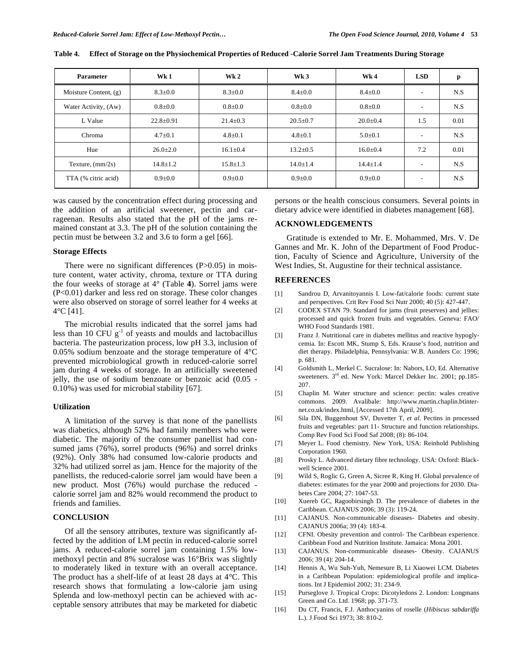| <b>Parameter</b>         | Wk1             | Wk <sub>2</sub> | Wk <sub>3</sub> | Wk4            | <b>LSD</b>               | p    |
|--------------------------|-----------------|-----------------|-----------------|----------------|--------------------------|------|
| Moisture Content, (g)    | $8.3 \pm 0.0$   | $8.3 \pm 0.0$   | $8.4 \pm 0.0$   | $8.4 \pm 0.0$  | $\overline{\phantom{0}}$ | N.S  |
| Water Activity, (Aw)     | $0.8 + 0.0$     | $0.8 + 0.0$     | $0.8 + 0.0$     | $0.8 + 0.0$    | $\overline{\phantom{a}}$ | N.S  |
| L Value                  | $22.8 \pm 0.91$ | $21.4 \pm 0.3$  | $20.5 \pm 0.7$  | $20.0+0.4$     | 1.5                      | 0.01 |
| Chroma                   | $4.7 \pm 0.1$   | $4.8 \pm 0.1$   | $4.8 \pm 0.1$   | $5.0 \pm 0.1$  | $\overline{\phantom{a}}$ | N.S  |
| Hue                      | $26.0+2.0$      | $16.1 \pm 0.4$  | $13.2 + 0.5$    | $16.0 + 0.4$   | 7.2                      | 0.01 |
| Texture, $\frac{mm}{2s}$ | $14.8 \pm 1.2$  | $15.8 \pm 1.3$  | $14.0 \pm 1.4$  | $14.4 \pm 1.4$ | $\overline{\phantom{a}}$ | N.S  |
| TTA (% citric acid)      | $0.9 + 0.0$     | $0.9 \pm 0.0$   | $0.9 + 0.0$     | $0.9 + 0.0$    | ۰                        | N.S  |

**Table 4. Effect of Storage on the Physiochemical Properties of Reduced -Calorie Sorrel Jam Treatments During Storage** 

was caused by the concentration effect during processing and the addition of an artificial sweetener, pectin and carrageenan. Results also stated that the pH of the jams remained constant at 3.3. The pH of the solution containing the pectin must be between 3.2 and 3.6 to form a gel [66].

## **Storage Effects**

There were no significant differences (P>0.05) in moisture content, water activity, chroma, texture or TTA during the four weeks of storage at 4° (Table **4**). Sorrel jams were (P<0.01) darker and less red on storage. These color changes were also observed on storage of sorrel leather for 4 weeks at 4°C [41].

The microbial results indicated that the sorrel jams had less than 10 CFU  $g^{-1}$  of yeasts and moulds and lactobacillus bacteria. The pasteurization process, low pH 3.3, inclusion of 0.05% sodium benzoate and the storage temperature of 4°C prevented microbiological growth in reduced-calorie sorrel jam during 4 weeks of storage. In an artificially sweetened jelly, the use of sodium benzoate or benzoic acid (0.05 - 0.10%) was used for microbial stability [67].

# **Utilization**

A limitation of the survey is that none of the panellists was diabetics, although 52% had family members who were diabetic. The majority of the consumer panellist had consumed jams (76%), sorrel products (96%) and sorrel drinks (92%). Only 38% had consumed low-calorie products and 32% had utilized sorrel as jam. Hence for the majority of the panellists, the reduced-calorie sorrel jam would have been a new product. Most (76%) would purchase the reduced calorie sorrel jam and 82% would recommend the product to friends and families.

#### **CONCLUSION**

Of all the sensory attributes, texture was significantly affected by the addition of LM pectin in reduced-calorie sorrel jams. A reduced-calorie sorrel jam containing 1.5% lowmethoxyl pectin and 8% sucralose was 16°Brix was slightly to moderately liked in texture with an overall acceptance. The product has a shelf-life of at least 28 days at 4°C. This research shows that formulating a low-calorie jam using Splenda and low-methoxyl pectin can be achieved with acceptable sensory attributes that may be marketed for diabetic persons or the health conscious consumers. Several points in dietary advice were identified in diabetes management [68].

# **ACKNOWLEDGEMENTS**

Gratitude is extended to Mr. E. Mohammed, Mrs. V. De Gannes and Mr. K. John of the Department of Food Production, Faculty of Science and Agriculture, University of the West Indies, St. Augustine for their technical assistance.

# **REFERENCES**

- [1] Sandrou D, Arvanitoyannis I. Low-fat/calorie foods: current state and perspectives. Crit Rev Food Sci Nutr 2000; 40 (5): 427-447.
- [2] CODEX STAN 79. Standard for jams (fruit preserves) and jellies: processed and quick frozen fruits and vegetables. Geneva: FAO/ WHO Food Standards 1981.
- [3] Franz J. Nutritional care in diabetes mellitus and reactive hypoglycemia*.* In: Escott MK, Stump S, Eds. Krause's food, nutrition and diet therapy. Philadelphia, Pennsylvania: W.B. Aunders Co: 1996; p. 681.
- [4] Goldsmith L, Merkel C. Sucralose: In: Nabors, LO, Ed. Alternative sweeteners.  $3<sup>rd</sup>$  ed. New York: Marcel Dekker Inc. 2001; pp.185-207.
- [5] Chaplin M. Water structure and science: pectin: wales creative commons. 2009. Avalibale: http://www.martin.chaplin.btinternet.co.uk/index.html, [Accessed 17th April, 2009].
- [6] Sila DN, Buggenhout SV, Duvetter T, *et al*. Pectins in processed fruits and vegetables: part 11- Structure and function relationships. Comp Rev Food Sci Food Saf 2008; (8): 86-104.
- [7] Meyer L. Food chemistry. New York, USA: Reinhold Publishing Corporation 1960.
- [8] Prosky L. Advanced dietary fibre technology. USA: Oxford: Blackwell Science 2001.
- [9] Wild S, Roglic G, Green A, Sicree R, King H. Global prevalence of diabetes: estimates for the year 2000 and projections for 2030. Diabetes Care 2004; 27: 1047-53.
- [10] Xuereb GC, Ragoobirsingh D. The prevalence of diabetes in the Caribbean. CAJANUS 2006; 39 (3): 119-24.
- [11] CAJANUS. Non-communicable diseases- Diabetes and obesity. CAJANUS 2006a; 39 (4): 183-4.
- [12] CFNI. Obesity prevention and control- The Caribbean experience. Caribbean Food and Nutrition Institute. Jamaica: Mona 2001.
- [13] CAJANUS. Non-communicable diseases- Obesity. CAJANUS 2006; 39 (4): 204-14.
- [14] Hennis A, Wu Suh-Yuh, Nemesure B, Li Xiaowei LCM. Diabetes in a Caribbean Population: epidemiological profile and implications. Int J Epidemiol 2002; 31: 234-9.
- [15] Purseglove J. Tropical Crops: Dicotyledons 2. London: Longmans Green and Co. Ltd. 1968; pp. 371-73.
- [16] Du CT, Francis, F.J. Anthocyanins of roselle (*Hibiscus sabdariffa*  L.). J Food Sci 1973; 38: 810-2.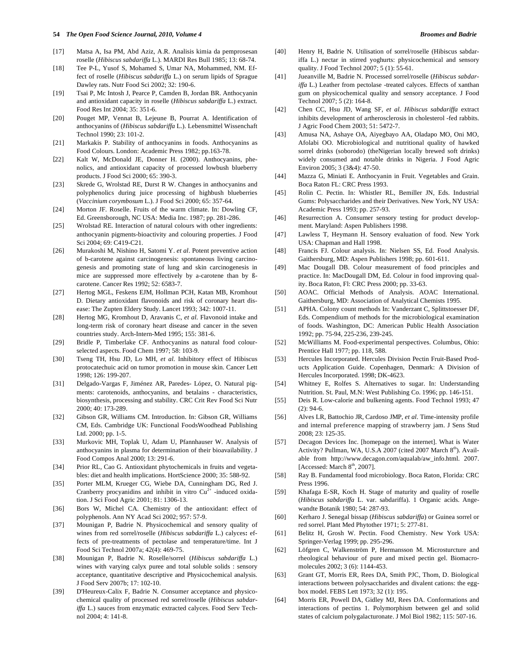#### **54** *The Open Food Science Journal, 2010, Volume 4 Broomes and Badrie*

- [17] Matsa A, Isa PM, Abd Aziz, A.R. Analisis kimia da pemprosesan roselle (*Hibiscus sabdariffa* L.). MARDI Res Bull 1985; 13: 68-74.
- [18] Tee P-L, Yusof S, Mohamed S, Umar NA, Mohammed, NM. Effect of roselle (*Hibiscus sabdariffa* L.) on serum lipids of Sprague Dawley rats. Nutr Food Sci 2002; 32: 190-6.
- [19] Tsai P, Mc Intosh J, Pearce P, Camden B, Jordan BR. Anthocyanin and antioxidant capacity in roselle (*Hibiscus sabdariffa* L.) extract. Food Res Int 2004; 35: 351-6.
- [20] Pouget MP, Vennat B, Lejeune B, Pourrat A. Identification of anthocyanins of (*Hibiscus sabdariffa* L.). Lebensmittel Wissenchaft Technol 1990; 23: 101-2.
- [21] Markakis P. Stability of anthocyanins in foods. Anthocyanins as Food Colours. London: Academic Press 1982; pp.163-78.
- 22] Kalt W, McDonald JE, Donner H. (2000). Anthocyanins, phenolics, and antioxidant capacity of processed lowbush blueberry products. J Food Sci 2000; 65: 390-3.
- [23] Skrede G, Wrolstad RE, Durst R W. Changes in anthocyanins and polyphenolics during juice processing of highbush blueberries (*Vaccinium corymbosum* L.). J Food Sci 2000; 65: 357-64.
- [24] Morton JF. Roselle. Fruits of the warm climate. In: Dowling CF, Ed. Greensborough, NC USA: Media Inc. 1987; pp. 281-286.
- [25] Wrolstad RE. Interaction of natural colours with other ingredients: anthocyanin pigments-bioactivity and colouring properties. J Food Sci 2004; 69: C419-C21.
- [26] Murakoshi M, Nishino H, Satomi Y. *et al*. Potent preventive action of b-carotene against carcinogenesis: spontaneous living carcinogenesis and promoting state of lung and skin carcinogenesis in mice are suppressed more effectively by a-carotene than by ßcarotene. Cancer Res 1992; 52: 6583-7.
- [27] Hertog MGL, Feskens EJM, Hollman PCH, Katan MB, Kromhout D. Dietary antioxidant flavonoids and risk of coronary heart disease: The Zupten Eldery Study. Lancet 1993; 342: 1007-11.
- [28] Hertog MG, Kromhout D, Aravanis C, *et al*. Flavonoid intake and long-term risk of coronary heart disease and cancer in the seven countries study. Arch-Intern-Med 1995; 155: 381-6.
- [29] Bridle P, Timberlake CF. Anthocyanins as natural food colourselected aspects. Food Chem 1997; 58: 103-9.
- [30] Tseng TH, Hsu JD, Lo MH, *et al*. Inhibitory effect of Hibiscus protocatechuic acid on tumor promotion in mouse skin. Cancer Lett 1998; 126: 199-207.
- [31] Delgado-Vargas F, Jiménez AR, Paredes- López, O. Natural pigments: carotenoids, anthocyanins, and betalains - characteristics, biosynthesis, processing and stability. CRC Crit Rev Food Sci Nutr 2000; 40: 173-289.
- [32] Gibson GR, Williams CM. Introduction. In: Gibson GR, Williams CM, Eds. Cambridge UK: Functional FoodsWoodhead Publishing Ltd. 2000; pp. 1-5.
- [33] Murkovic MH, Toplak U, Adam U, Pfannhauser W. Analysis of anthocyanins in plasma for determination of their bioavailability. J Food Compos Anal 2000; 13: 291-6.
- [34] Prior RL, Cao G. Antioxidant phytochemicals in fruits and vegetables: diet and health implications. HortScience 2000; 35: 588-92.
- [35] Porter MLM, Krueger CG, Wiebe DA, Cunningham DG, Red J. Cranberry procyanidins and inhibit in vitro  $Cu^{2+}$  -induced oxidation. J Sci Food Agric 2001; 81: 1306-13.
- [36] Bors W, Michel CA. Chemistry of the antioxidant: effect of polyphenols. Ann NY Acad Sci 2002; 957: 57-9.
- [37] Mounigan P, Badrie N. Physicochemical and sensory quality of wines from red sorrel/roselle (*Hibiscus sabdariffa* L.) calyces**:** effects of pre-treatments of pectolase and temperature/time. Int J Food Sci Technol 2007a; 42(4): 469-75.
- [38] Mounigan P, Badrie N. Roselle/sorrel (*Hibiscus sabdariffa* L.) wines with varying calyx puree and total soluble solids : sensory acceptance, quantitative descriptive and Physicochemical analysis. J Food Serv 2007b; 17: 102-10.
- [39] D'Heureux-Calix F, Badrie N. *C*onsumer acceptance and physicochemical quality of processed red sorrel/roselle (*Hibiscus sabdariffa* L.) sauces from enzymatic extracted calyces. Food Serv Technol 2004; 4: 141-8.
- [40] Henry H, Badrie N. Utilisation of sorrel/roselle (Hibiscus sabdariffa L.) nectar in stirred yoghurts: physicochemical and sensory quality. J Food Technol 2007; 5 (1): 55-61.
- [41] Jueanville M, Badrie N. Processed sorrel/roselle (*Hibiscus sabdariffa* L.) Leather from pectolase -treated calyces. Effects of xanthan gum on physicochemical quality and sensory acceptance. J Food Technol 2007; 5 (2): 164-8.
- [42] Chen CC, Hsu JD, Wang SF, *et al*. *Hibiscus sabdariffa* extract inhibits development of artherosclerosis in cholesterol -fed rabbits. J Agric Food Chem 2003; 51: 5472-7.
- [43] Amusa NA, Ashaye OA, Aiyegbayo AA, Oladapo MO, Oni MO, Afolabi OO. Microbiological and nutritional quality of hawked sorrel drinks (soborodo) (theNigerian locally brewed soft drinks) widely consumed and notable drinks in Nigeria. J Food Agric Environ 2005; 3 (3&4): 47-50.
- [44] Mazza G, Miniati E. Anthocyanin in Fruit. Vegetables and Grain. Boca Raton FL: CRC Press 1993.
- [45] Rolin C. Pectin. In: Whistler RL, Bemiller JN, Eds. Industrial Gums: Polysaccharides and their Derivatives. New York, NY USA: Academic Press 1993; pp. 257-93.
- [46] Resurrection A. Consumer sensory testing for product development. Maryland: Aspen Publishers 1998.
- [47] Lawless T, Heymann H. Sensory evaluation of food. New York USA: Chapman and Hall 1998.
- [48] Francis FJ. Colour analysis. In: Nielsen SS, Ed. Food Analysis. Gaithersburg, MD: Aspen Publishers 1998; pp. 601-611.
- [49] Mac Dougall DB. Colour measurement of food principles and practice. In: MacDougall DM, Ed. Colour in food improving quality. Boca Raton, Fl: CRC Press 2000; pp. 33-63.
- [50] AOAC. Official Methods of Analysis. AOAC International. Gaithersburg, MD: Association of Analytical Chemists 1995.
- [51] APHA. Colony count methods In: Vanderzant C, Splittstoesser DF, Eds. Compendium of methods for the microbiological examination of foods. Washington, DC: American Public Health Association 1992; pp. 75-94, 225-236, 239-245.
- [52] McWilliams M. Food-experimental perspectives. Columbus, Ohio: Prentice Hall 1977; pp. 118, 588.
- [53] Hercules Incorporated. Hercules Division Pectin Fruit-Based Products Application Guide. Copenhagen, Denmark: A Division of Hercules Incorporated. 1998; DK-4623.
- [54] Whitney E, Rolfes S. Alternatives to sugar. In: Understanding Nutrition. St. Paul, M.N: West Publishing Co. 1996; pp. 146-151.
- [55] Deis R. Low-calorie and bulkening agents. Food Technol 1993; 47  $(2): 94-6.$
- [56] Alves LR, Battochio JR, Cardoso JMP, *et al*. Time-intensity profile and internal preference mapping of strawberry jam. J Sens Stud 2008; 23: 125-35.
- [57] Decagon Devices Inc. [homepage on the internet]. What is Water Activity? Pullman, WA, U.S.A 2007 (cited 2007 March 8<sup>th</sup>). Available from http://www.decagon.com/aqualab/aw\_info.html. 2007. [Accessed: March  $8<sup>th</sup>$ , 2007].
- [58] Ray B. Fundamental food microbiology. Boca Raton, Florida: CRC Press 1996.
- [59] Khafaga E-SR, Koch H. Stage of maturity and quality of roselle (*Hibiscus sabdariffa* L. var. sabdariffa). 1 Organic acids. Angewandte Botanik 1980; 54: 287-93.
- [60] Kerharo J. Senegal bissap (*Hibiscus sabdariffa*) or Guinea sorrel or red sorrel. Plant Med Phytother 1971; 5: 277-81.
- [61] Belitz H, Grosh W. Pectin. Food Chemistry. New York USA: Springer-Verlag 1999; pp. 295-296.
- [62] Löfgren C, Walkenström P, Hermansson M. Microsturcture and rheological behaviour of pure and mixed pectin gel. Biomacromolecules 2002; 3 (6): 1144-453.
- [63] Grant GT, Morris ER, Rees DA, Smith PJC, Thom, D. Biological interactions between polysaccharides and divalent cations: the eggbox model. FEBS Lett 1973; 32 (1): 195.
- [64] Morris ER, Powell DA, Gidley MJ, Rees DA. Conformations and interactions of pectins 1. Polymorphism between gel and solid states of calcium polygalacturonate. J Mol Biol 1982; 115: 507-16.